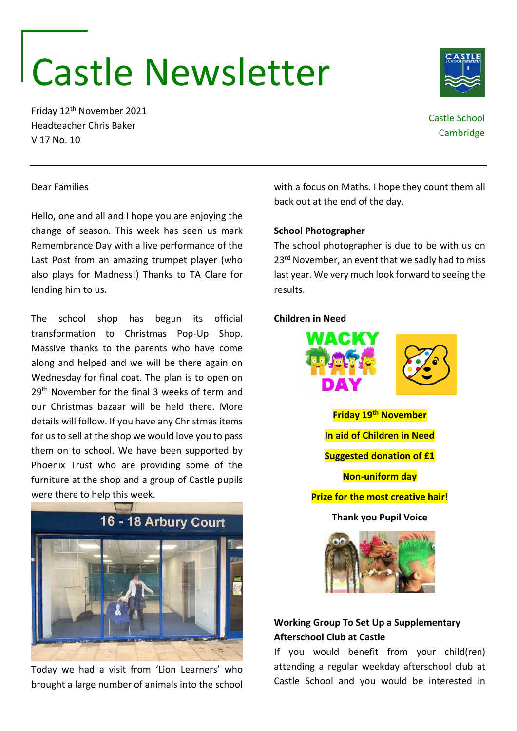# Castle Newsletter

Friday 12th November 2021 Headteacher Chris Baker V 17 No. 10

#### Dear Families

Hello, one and all and I hope you are enjoying the change of season. This week has seen us mark Remembrance Day with a live performance of the Last Post from an amazing trumpet player (who also plays for Madness!) Thanks to TA Clare for lending him to us.

The school shop has begun its official transformation to Christmas Pop-Up Shop. Massive thanks to the parents who have come along and helped and we will be there again on Wednesday for final coat. The plan is to open on 29<sup>th</sup> November for the final 3 weeks of term and our Christmas bazaar will be held there. More details will follow. If you have any Christmas items for us to sell at the shop we would love you to pass them on to school. We have been supported by Phoenix Trust who are providing some of the furniture at the shop and a group of Castle pupils were there to help this week.



Today we had a visit from 'Lion Learners' who brought a large number of animals into the school with a focus on Maths. I hope they count them all back out at the end of the day.

#### **School Photographer**

The school photographer is due to be with us on 23<sup>rd</sup> November, an event that we sadly had to miss last year. We very much look forward to seeing the results.

### **Children in Need**



**Friday 19th November In aid of Children in Need Suggested donation of £1 Non-uniform day Prize for the most creative hair! Thank you Pupil Voice**



## **Working Group To Set Up a Supplementary Afterschool Club at Castle**

If you would benefit from your child(ren) attending a regular weekday afterschool club at Castle School and you would be interested in



Castle School **Cambridge**